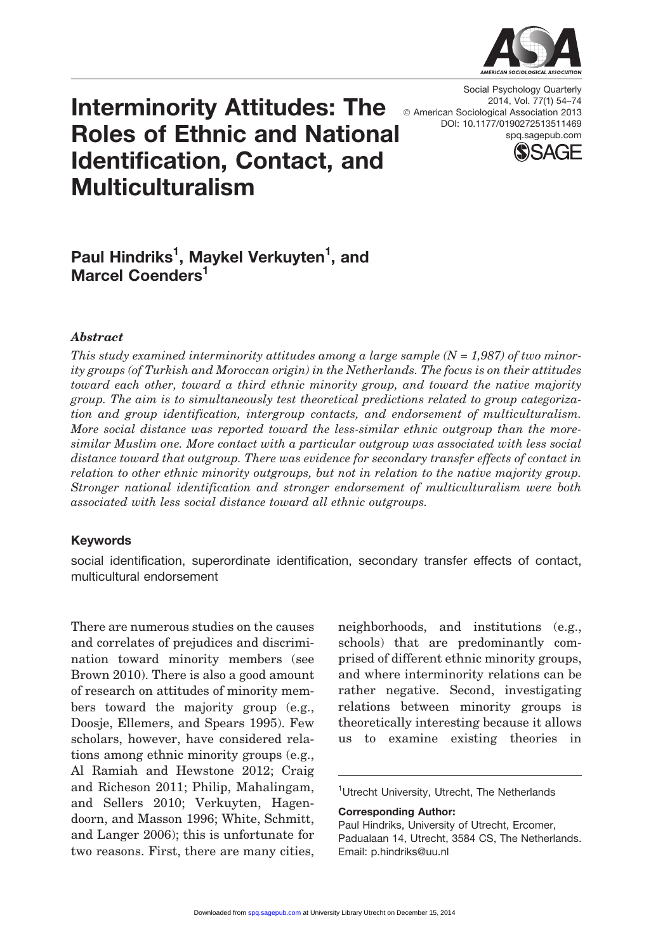

Social Psychology Quarterly 2014, Vol. 77(1) 54–74 - American Sociological Association 2013 DOI: 10.1177/0190272513511469 spq.sagepub.com



# Interminority Attitudes: The Roles of Ethnic and National Identification, Contact, and Multiculturalism

# Paul Hindriks<sup>1</sup>, Maykel Verkuyten<sup>1</sup>, and Marcel Coenders<sup>1</sup>

# Abstract

This study examined interminority attitudes among a large sample  $(N = 1,987)$  of two minority groups (of Turkish and Moroccan origin) in the Netherlands. The focus is on their attitudes toward each other, toward a third ethnic minority group, and toward the native majority group. The aim is to simultaneously test theoretical predictions related to group categorization and group identification, intergroup contacts, and endorsement of multiculturalism. More social distance was reported toward the less-similar ethnic outgroup than the moresimilar Muslim one. More contact with a particular outgroup was associated with less social distance toward that outgroup. There was evidence for secondary transfer effects of contact in relation to other ethnic minority outgroups, but not in relation to the native majority group. Stronger national identification and stronger endorsement of multiculturalism were both associated with less social distance toward all ethnic outgroups.

# Keywords

social identification, superordinate identification, secondary transfer effects of contact, multicultural endorsement

There are numerous studies on the causes and correlates of prejudices and discrimination toward minority members (see Brown 2010). There is also a good amount of research on attitudes of minority members toward the majority group (e.g., Doosje, Ellemers, and Spears 1995). Few scholars, however, have considered relations among ethnic minority groups (e.g., Al Ramiah and Hewstone 2012; Craig and Richeson 2011; Philip, Mahalingam, and Sellers 2010; Verkuyten, Hagendoorn, and Masson 1996; White, Schmitt, and Langer 2006); this is unfortunate for two reasons. First, there are many cities, neighborhoods, and institutions (e.g., schools) that are predominantly comprised of different ethnic minority groups, and where interminority relations can be rather negative. Second, investigating relations between minority groups is theoretically interesting because it allows us to examine existing theories in

<sup>1</sup>Utrecht University, Utrecht, The Netherlands

Corresponding Author:

Paul Hindriks, University of Utrecht, Ercomer, Padualaan 14, Utrecht, 3584 CS, The Netherlands. Email: p.hindriks@uu.nl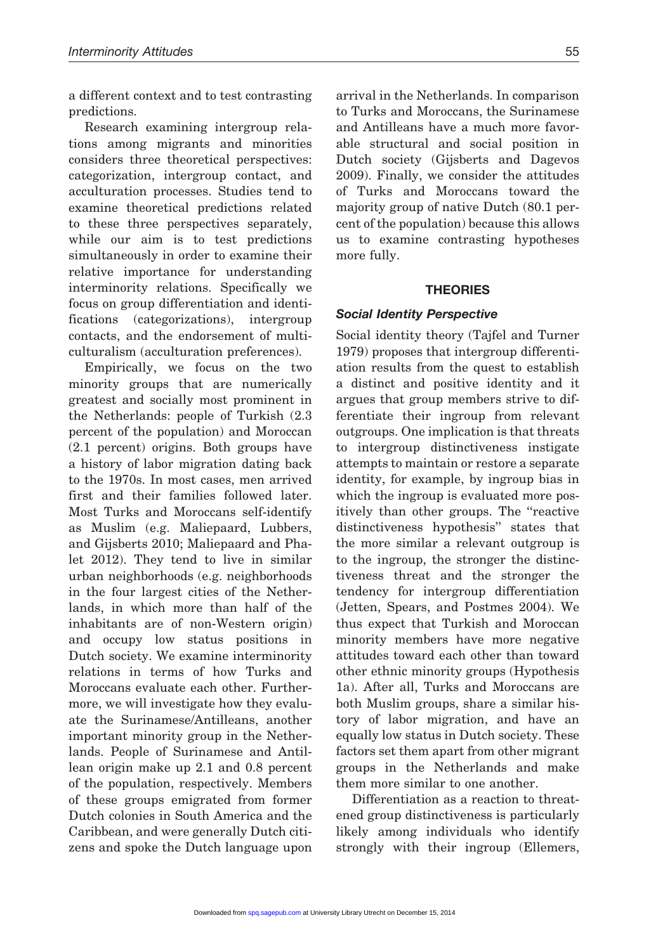a different context and to test contrasting predictions.

Research examining intergroup relations among migrants and minorities considers three theoretical perspectives: categorization, intergroup contact, and acculturation processes. Studies tend to examine theoretical predictions related to these three perspectives separately, while our aim is to test predictions simultaneously in order to examine their relative importance for understanding interminority relations. Specifically we focus on group differentiation and identifications (categorizations), intergroup contacts, and the endorsement of multiculturalism (acculturation preferences).

Empirically, we focus on the two minority groups that are numerically greatest and socially most prominent in the Netherlands: people of Turkish (2.3 percent of the population) and Moroccan (2.1 percent) origins. Both groups have a history of labor migration dating back to the 1970s. In most cases, men arrived first and their families followed later. Most Turks and Moroccans self-identify as Muslim (e.g. Maliepaard, Lubbers, and Gijsberts 2010; Maliepaard and Phalet 2012). They tend to live in similar urban neighborhoods (e.g. neighborhoods in the four largest cities of the Netherlands, in which more than half of the inhabitants are of non-Western origin) and occupy low status positions in Dutch society. We examine interminority relations in terms of how Turks and Moroccans evaluate each other. Furthermore, we will investigate how they evaluate the Surinamese/Antilleans, another important minority group in the Netherlands. People of Surinamese and Antillean origin make up 2.1 and 0.8 percent of the population, respectively. Members of these groups emigrated from former Dutch colonies in South America and the Caribbean, and were generally Dutch citizens and spoke the Dutch language upon arrival in the Netherlands. In comparison to Turks and Moroccans, the Surinamese and Antilleans have a much more favorable structural and social position in Dutch society (Gijsberts and Dagevos 2009). Finally, we consider the attitudes of Turks and Moroccans toward the majority group of native Dutch (80.1 percent of the population) because this allows us to examine contrasting hypotheses more fully.

#### **THEORIES**

#### Social Identity Perspective

Social identity theory (Tajfel and Turner 1979) proposes that intergroup differentiation results from the quest to establish a distinct and positive identity and it argues that group members strive to differentiate their ingroup from relevant outgroups. One implication is that threats to intergroup distinctiveness instigate attempts to maintain or restore a separate identity, for example, by ingroup bias in which the ingroup is evaluated more positively than other groups. The ''reactive distinctiveness hypothesis'' states that the more similar a relevant outgroup is to the ingroup, the stronger the distinctiveness threat and the stronger the tendency for intergroup differentiation (Jetten, Spears, and Postmes 2004). We thus expect that Turkish and Moroccan minority members have more negative attitudes toward each other than toward other ethnic minority groups (Hypothesis 1a). After all, Turks and Moroccans are both Muslim groups, share a similar history of labor migration, and have an equally low status in Dutch society. These factors set them apart from other migrant groups in the Netherlands and make them more similar to one another.

Differentiation as a reaction to threatened group distinctiveness is particularly likely among individuals who identify strongly with their ingroup (Ellemers,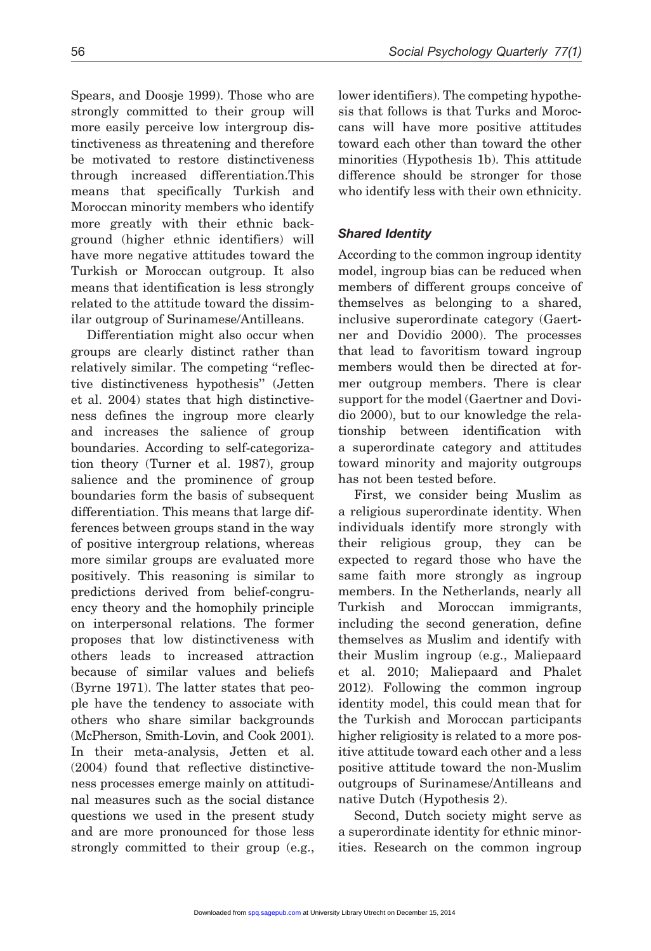Spears, and Doosje 1999). Those who are strongly committed to their group will more easily perceive low intergroup distinctiveness as threatening and therefore be motivated to restore distinctiveness through increased differentiation.This means that specifically Turkish and Moroccan minority members who identify more greatly with their ethnic background (higher ethnic identifiers) will have more negative attitudes toward the Turkish or Moroccan outgroup. It also means that identification is less strongly related to the attitude toward the dissimilar outgroup of Surinamese/Antilleans.

Differentiation might also occur when groups are clearly distinct rather than relatively similar. The competing ''reflective distinctiveness hypothesis'' (Jetten et al. 2004) states that high distinctiveness defines the ingroup more clearly and increases the salience of group boundaries. According to self-categorization theory (Turner et al. 1987), group salience and the prominence of group boundaries form the basis of subsequent differentiation. This means that large differences between groups stand in the way of positive intergroup relations, whereas more similar groups are evaluated more positively. This reasoning is similar to predictions derived from belief-congruency theory and the homophily principle on interpersonal relations. The former proposes that low distinctiveness with others leads to increased attraction because of similar values and beliefs (Byrne 1971). The latter states that people have the tendency to associate with others who share similar backgrounds (McPherson, Smith-Lovin, and Cook 2001). In their meta-analysis, Jetten et al. (2004) found that reflective distinctiveness processes emerge mainly on attitudinal measures such as the social distance questions we used in the present study and are more pronounced for those less strongly committed to their group (e.g., lower identifiers). The competing hypothesis that follows is that Turks and Moroccans will have more positive attitudes toward each other than toward the other minorities (Hypothesis 1b). This attitude difference should be stronger for those who identify less with their own ethnicity.

# Shared Identity

According to the common ingroup identity model, ingroup bias can be reduced when members of different groups conceive of themselves as belonging to a shared, inclusive superordinate category (Gaertner and Dovidio 2000). The processes that lead to favoritism toward ingroup members would then be directed at former outgroup members. There is clear support for the model (Gaertner and Dovidio 2000), but to our knowledge the relationship between identification with a superordinate category and attitudes toward minority and majority outgroups has not been tested before.

First, we consider being Muslim as a religious superordinate identity. When individuals identify more strongly with their religious group, they can be expected to regard those who have the same faith more strongly as ingroup members. In the Netherlands, nearly all Turkish and Moroccan immigrants, including the second generation, define themselves as Muslim and identify with their Muslim ingroup (e.g., Maliepaard et al. 2010; Maliepaard and Phalet 2012). Following the common ingroup identity model, this could mean that for the Turkish and Moroccan participants higher religiosity is related to a more positive attitude toward each other and a less positive attitude toward the non-Muslim outgroups of Surinamese/Antilleans and native Dutch (Hypothesis 2).

Second, Dutch society might serve as a superordinate identity for ethnic minorities. Research on the common ingroup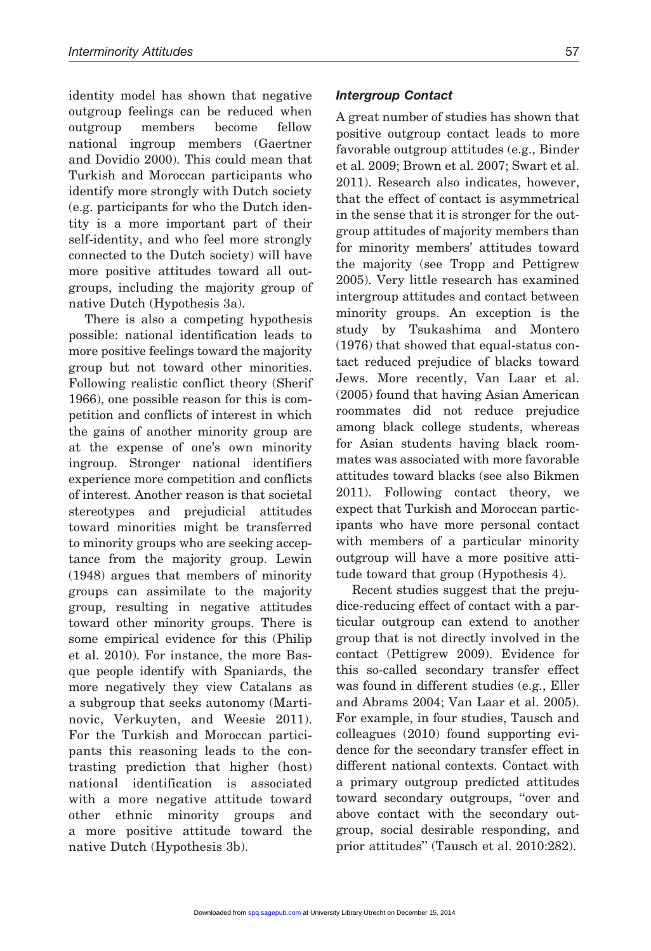identity model has shown that negative outgroup feelings can be reduced when outgroup members become fellow national ingroup members (Gaertner and Dovidio 2000). This could mean that Turkish and Moroccan participants who identify more strongly with Dutch society (e.g. participants for who the Dutch identity is a more important part of their self-identity, and who feel more strongly connected to the Dutch society) will have more positive attitudes toward all outgroups, including the majority group of native Dutch (Hypothesis 3a).

There is also a competing hypothesis possible: national identification leads to more positive feelings toward the majority group but not toward other minorities. Following realistic conflict theory (Sherif 1966), one possible reason for this is competition and conflicts of interest in which the gains of another minority group are at the expense of one's own minority ingroup. Stronger national identifiers experience more competition and conflicts of interest. Another reason is that societal stereotypes and prejudicial attitudes toward minorities might be transferred to minority groups who are seeking acceptance from the majority group. Lewin (1948) argues that members of minority groups can assimilate to the majority group, resulting in negative attitudes toward other minority groups. There is some empirical evidence for this (Philip et al. 2010). For instance, the more Basque people identify with Spaniards, the more negatively they view Catalans as a subgroup that seeks autonomy (Martinovic, Verkuyten, and Weesie 2011). For the Turkish and Moroccan participants this reasoning leads to the contrasting prediction that higher (host) national identification is associated with a more negative attitude toward other ethnic minority groups and a more positive attitude toward the native Dutch (Hypothesis 3b).

#### Intergroup Contact

A great number of studies has shown that positive outgroup contact leads to more favorable outgroup attitudes (e.g., Binder et al. 2009; Brown et al. 2007; Swart et al. 2011). Research also indicates, however, that the effect of contact is asymmetrical in the sense that it is stronger for the outgroup attitudes of majority members than for minority members' attitudes toward the majority (see Tropp and Pettigrew 2005). Very little research has examined intergroup attitudes and contact between minority groups. An exception is the study by Tsukashima and Montero (1976) that showed that equal-status contact reduced prejudice of blacks toward Jews. More recently, Van Laar et al. (2005) found that having Asian American roommates did not reduce prejudice among black college students, whereas for Asian students having black roommates was associated with more favorable attitudes toward blacks (see also Bikmen 2011). Following contact theory, we expect that Turkish and Moroccan participants who have more personal contact with members of a particular minority outgroup will have a more positive attitude toward that group (Hypothesis 4).

Recent studies suggest that the prejudice-reducing effect of contact with a particular outgroup can extend to another group that is not directly involved in the contact (Pettigrew 2009). Evidence for this so-called secondary transfer effect was found in different studies (e.g., Eller and Abrams 2004; Van Laar et al. 2005). For example, in four studies, Tausch and colleagues (2010) found supporting evidence for the secondary transfer effect in different national contexts. Contact with a primary outgroup predicted attitudes toward secondary outgroups, ''over and above contact with the secondary outgroup, social desirable responding, and prior attitudes'' (Tausch et al. 2010:282).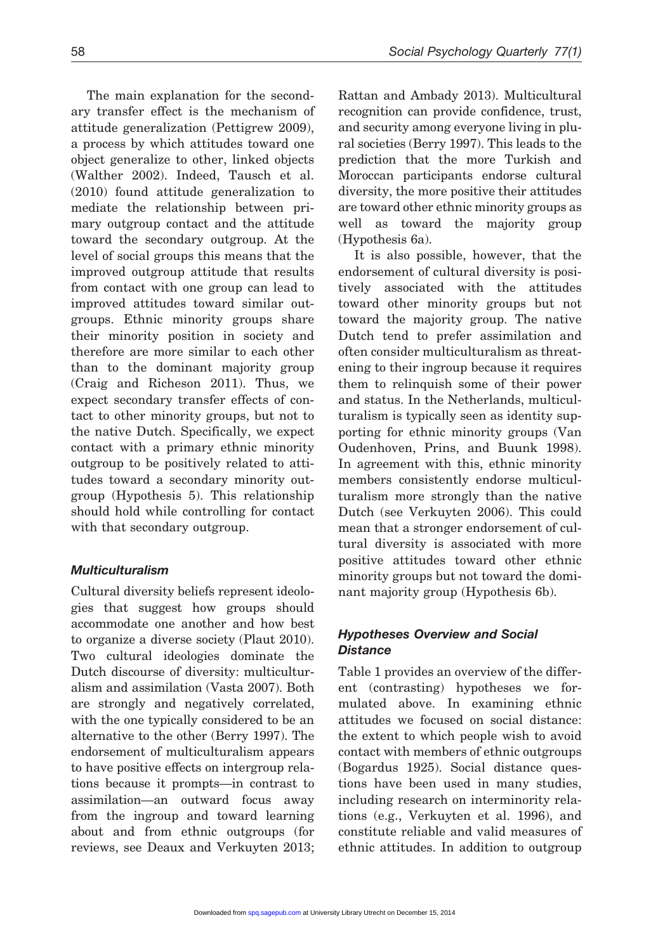The main explanation for the secondary transfer effect is the mechanism of attitude generalization (Pettigrew 2009), a process by which attitudes toward one object generalize to other, linked objects (Walther 2002). Indeed, Tausch et al. (2010) found attitude generalization to mediate the relationship between primary outgroup contact and the attitude toward the secondary outgroup. At the level of social groups this means that the improved outgroup attitude that results from contact with one group can lead to improved attitudes toward similar outgroups. Ethnic minority groups share their minority position in society and therefore are more similar to each other than to the dominant majority group (Craig and Richeson 2011). Thus, we expect secondary transfer effects of contact to other minority groups, but not to the native Dutch. Specifically, we expect contact with a primary ethnic minority outgroup to be positively related to attitudes toward a secondary minority outgroup (Hypothesis 5). This relationship should hold while controlling for contact with that secondary outgroup.

# Multiculturalism

Cultural diversity beliefs represent ideologies that suggest how groups should accommodate one another and how best to organize a diverse society (Plaut 2010). Two cultural ideologies dominate the Dutch discourse of diversity: multiculturalism and assimilation (Vasta 2007). Both are strongly and negatively correlated, with the one typically considered to be an alternative to the other (Berry 1997). The endorsement of multiculturalism appears to have positive effects on intergroup relations because it prompts—in contrast to assimilation—an outward focus away from the ingroup and toward learning about and from ethnic outgroups (for reviews, see Deaux and Verkuyten 2013; Rattan and Ambady 2013). Multicultural recognition can provide confidence, trust, and security among everyone living in plural societies (Berry 1997). This leads to the prediction that the more Turkish and Moroccan participants endorse cultural diversity, the more positive their attitudes are toward other ethnic minority groups as well as toward the majority group (Hypothesis 6a).

It is also possible, however, that the endorsement of cultural diversity is positively associated with the attitudes toward other minority groups but not toward the majority group. The native Dutch tend to prefer assimilation and often consider multiculturalism as threatening to their ingroup because it requires them to relinquish some of their power and status. In the Netherlands, multiculturalism is typically seen as identity supporting for ethnic minority groups (Van Oudenhoven, Prins, and Buunk 1998). In agreement with this, ethnic minority members consistently endorse multiculturalism more strongly than the native Dutch (see Verkuyten 2006). This could mean that a stronger endorsement of cultural diversity is associated with more positive attitudes toward other ethnic minority groups but not toward the dominant majority group (Hypothesis 6b).

# Hypotheses Overview and Social **Distance**

Table 1 provides an overview of the different (contrasting) hypotheses we formulated above. In examining ethnic attitudes we focused on social distance: the extent to which people wish to avoid contact with members of ethnic outgroups (Bogardus 1925). Social distance questions have been used in many studies, including research on interminority relations (e.g., Verkuyten et al. 1996), and constitute reliable and valid measures of ethnic attitudes. In addition to outgroup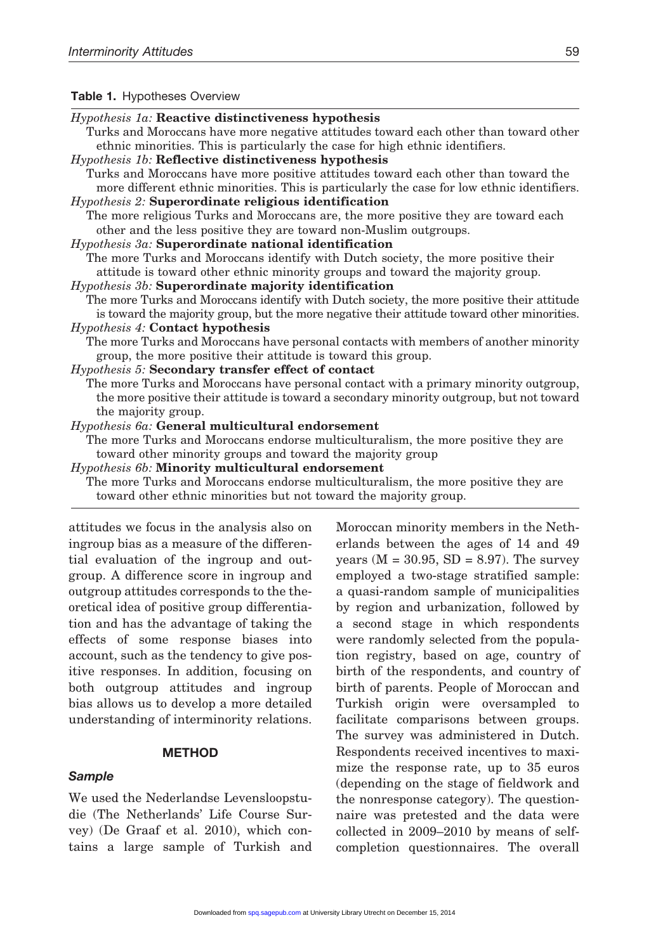Table 1. Hypotheses Overview

| <i>Hypothesis 1a:</i> Reactive distinctiveness hypothesis                                   |
|---------------------------------------------------------------------------------------------|
| Turks and Moroccans have more negative attitudes toward each other than toward other        |
| ethnic minorities. This is particularly the case for high ethnic identifiers.               |
| Hypothesis 1b: Reflective distinctiveness hypothesis                                        |
| Turks and Moroccans have more positive attitudes toward each other than toward the          |
| more different ethnic minorities. This is particularly the case for low ethnic identifiers. |
| <i>Hypothesis 2:</i> Superordinate religious identification                                 |
| The more religious Turks and Moroccans are, the more positive they are toward each          |
| other and the less positive they are toward non-Muslim outgroups.                           |
| Hypothesis 3a: Superordinate national identification                                        |
| The more Turks and Moroccans identify with Dutch society, the more positive their           |
| attitude is toward other ethnic minority groups and toward the majority group.              |
| Hypothesis 3b: Superordinate majority identification                                        |
| The more Turks and Moroccans identify with Dutch society, the more positive their attitude  |
| is toward the majority group, but the more negative their attitude toward other minorities. |
| <i>Hypothesis 4:</i> Contact hypothesis                                                     |
| The more Turks and Moroccans have personal contacts with members of another minority        |
| group, the more positive their attitude is toward this group.                               |
| <i>Hypothesis 5:</i> Secondary transfer effect of contact                                   |
| The more Turks and Moroccans have personal contact with a primary minority outgroup,        |
| the more positive their attitude is toward a secondary minority outgroup, but not toward    |
| the majority group.                                                                         |
| Hypothesis 6a: General multicultural endorsement                                            |
| The more Turks and Moroccans endorse multiculturalism, the more positive they are           |
| toward other minority groups and toward the majority group                                  |
| Hypothesis 6b: Minority multicultural endorsement                                           |
| The more Turks and Moroccans endorse multiculturalism, the more positive they are           |
| toward other ethnic minorities but not toward the majority group.                           |
|                                                                                             |

attitudes we focus in the analysis also on ingroup bias as a measure of the differential evaluation of the ingroup and outgroup. A difference score in ingroup and outgroup attitudes corresponds to the theoretical idea of positive group differentiation and has the advantage of taking the effects of some response biases into account, such as the tendency to give positive responses. In addition, focusing on both outgroup attitudes and ingroup bias allows us to develop a more detailed understanding of interminority relations.

#### METHOD

#### Sample

We used the Nederlandse Levensloopstudie (The Netherlands' Life Course Survey) (De Graaf et al. 2010), which contains a large sample of Turkish and Moroccan minority members in the Netherlands between the ages of 14 and 49 years  $(M = 30.95, SD = 8.97)$ . The survey employed a two-stage stratified sample: a quasi-random sample of municipalities by region and urbanization, followed by a second stage in which respondents were randomly selected from the population registry, based on age, country of birth of the respondents, and country of birth of parents. People of Moroccan and Turkish origin were oversampled to facilitate comparisons between groups. The survey was administered in Dutch. Respondents received incentives to maximize the response rate, up to 35 euros (depending on the stage of fieldwork and the nonresponse category). The questionnaire was pretested and the data were collected in 2009–2010 by means of selfcompletion questionnaires. The overall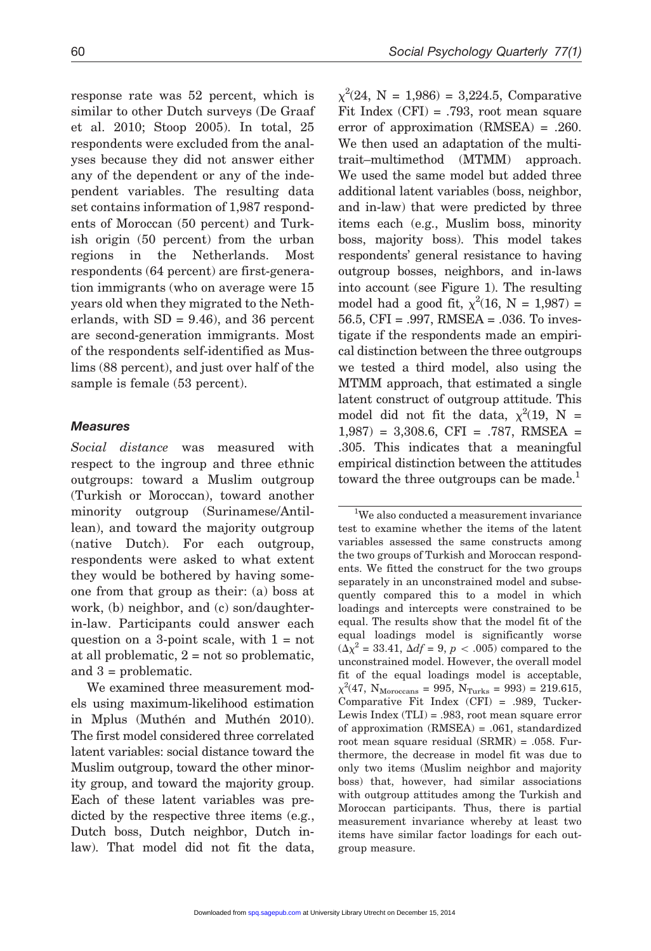response rate was 52 percent, which is similar to other Dutch surveys (De Graaf et al. 2010; Stoop 2005). In total, 25 respondents were excluded from the analyses because they did not answer either any of the dependent or any of the independent variables. The resulting data set contains information of 1,987 respondents of Moroccan (50 percent) and Turkish origin (50 percent) from the urban regions in the Netherlands. Most respondents (64 percent) are first-generation immigrants (who on average were 15 years old when they migrated to the Netherlands, with SD = 9.46), and 36 percent are second-generation immigrants. Most of the respondents self-identified as Muslims (88 percent), and just over half of the sample is female (53 percent).

# **Measures**

Social distance was measured with respect to the ingroup and three ethnic outgroups: toward a Muslim outgroup (Turkish or Moroccan), toward another minority outgroup (Surinamese/Antillean), and toward the majority outgroup (native Dutch). For each outgroup, respondents were asked to what extent they would be bothered by having someone from that group as their: (a) boss at work, (b) neighbor, and (c) son/daughterin-law. Participants could answer each question on a 3-point scale, with  $1 = not$ at all problematic, 2 = not so problematic, and 3 = problematic.

We examined three measurement models using maximum-likelihood estimation in Mplus (Muthén and Muthén 2010). The first model considered three correlated latent variables: social distance toward the Muslim outgroup, toward the other minority group, and toward the majority group. Each of these latent variables was predicted by the respective three items (e.g., Dutch boss, Dutch neighbor, Dutch inlaw). That model did not fit the data,

 $\chi^2(24, N = 1,986) = 3,224.5,$  Comparative Fit Index  $(CFI) = .793$ , root mean square error of approximation (RMSEA) = .260. We then used an adaptation of the multitrait–multimethod (MTMM) approach. We used the same model but added three additional latent variables (boss, neighbor, and in-law) that were predicted by three items each (e.g., Muslim boss, minority boss, majority boss). This model takes respondents' general resistance to having outgroup bosses, neighbors, and in-laws into account (see Figure 1). The resulting model had a good fit,  $\chi^2(16, N = 1,987) =$ 56.5, CFI = .997, RMSEA = .036. To investigate if the respondents made an empirical distinction between the three outgroups we tested a third model, also using the MTMM approach, that estimated a single latent construct of outgroup attitude. This model did not fit the data,  $\chi^2(19, N =$ 1,987) = 3,308.6, CFI = .787, RMSEA = .305. This indicates that a meaningful empirical distinction between the attitudes toward the three outgroups can be made.<sup>1</sup>

<sup>1</sup> We also conducted a measurement invariance test to examine whether the items of the latent variables assessed the same constructs among the two groups of Turkish and Moroccan respondents. We fitted the construct for the two groups separately in an unconstrained model and subsequently compared this to a model in which loadings and intercepts were constrained to be equal. The results show that the model fit of the equal loadings model is significantly worse  $(\Delta \chi^2 = 33.41, \Delta df = 9, p < .005)$  compared to the unconstrained model. However, the overall model fit of the equal loadings model is acceptable,  $\chi^2$ (47, N<sub>Moroccans</sub> = 995, N<sub>Turks</sub> = 993) = 219.615, Comparative Fit Index (CFI) = .989, Tucker-Lewis Index (TLI) = .983, root mean square error of approximation (RMSEA) = .061, standardized root mean square residual (SRMR) = .058. Furthermore, the decrease in model fit was due to only two items (Muslim neighbor and majority boss) that, however, had similar associations with outgroup attitudes among the Turkish and Moroccan participants. Thus, there is partial measurement invariance whereby at least two items have similar factor loadings for each outgroup measure.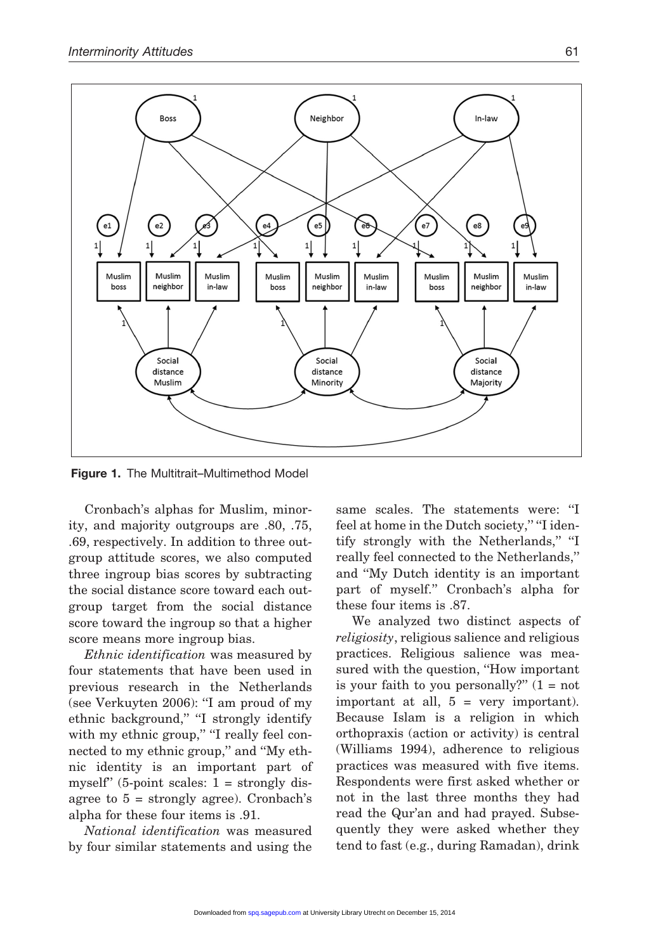

Figure 1. The Multitrait–Multimethod Model

Cronbach's alphas for Muslim, minority, and majority outgroups are .80, .75, .69, respectively. In addition to three outgroup attitude scores, we also computed three ingroup bias scores by subtracting the social distance score toward each outgroup target from the social distance score toward the ingroup so that a higher score means more ingroup bias.

Ethnic identification was measured by four statements that have been used in previous research in the Netherlands (see Verkuyten 2006): ''I am proud of my ethnic background,'' ''I strongly identify with my ethnic group," "I really feel connected to my ethnic group,'' and ''My ethnic identity is an important part of myself" (5-point scales:  $1 =$  strongly disagree to 5 = strongly agree). Cronbach's alpha for these four items is .91.

National identification was measured by four similar statements and using the

same scales. The statements were: ''I feel at home in the Dutch society," "I identify strongly with the Netherlands,'' ''I really feel connected to the Netherlands,'' and ''My Dutch identity is an important part of myself.'' Cronbach's alpha for these four items is .87.

We analyzed two distinct aspects of religiosity, religious salience and religious practices. Religious salience was measured with the question, ''How important is your faith to you personally?"  $(1 = not$ important at all,  $5 = \text{very important}$ . Because Islam is a religion in which orthopraxis (action or activity) is central (Williams 1994), adherence to religious practices was measured with five items. Respondents were first asked whether or not in the last three months they had read the Qur'an and had prayed. Subsequently they were asked whether they tend to fast (e.g., during Ramadan), drink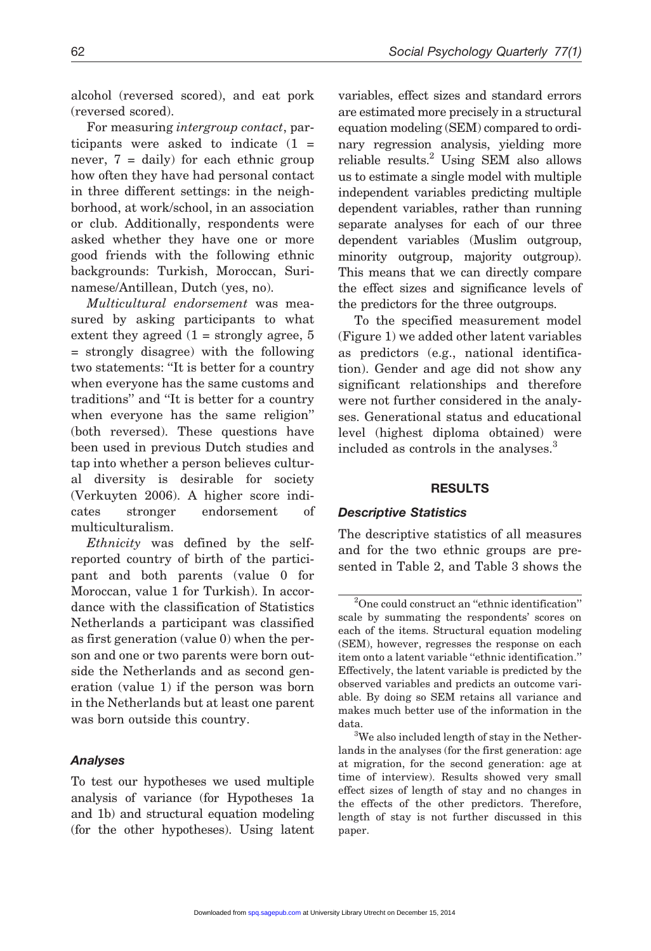alcohol (reversed scored), and eat pork (reversed scored).

For measuring intergroup contact, participants were asked to indicate  $(1 =$ never,  $7 = \text{daily}$  for each ethnic group how often they have had personal contact in three different settings: in the neighborhood, at work/school, in an association or club. Additionally, respondents were asked whether they have one or more good friends with the following ethnic backgrounds: Turkish, Moroccan, Surinamese/Antillean, Dutch (yes, no).

Multicultural endorsement was measured by asking participants to what extent they agreed  $(1 =$  strongly agree, 5 = strongly disagree) with the following two statements: ''It is better for a country when everyone has the same customs and traditions'' and ''It is better for a country when everyone has the same religion'' (both reversed). These questions have been used in previous Dutch studies and tap into whether a person believes cultural diversity is desirable for society (Verkuyten 2006). A higher score indicates stronger endorsement of multiculturalism.

Ethnicity was defined by the selfreported country of birth of the participant and both parents (value 0 for Moroccan, value 1 for Turkish). In accordance with the classification of Statistics Netherlands a participant was classified as first generation (value 0) when the person and one or two parents were born outside the Netherlands and as second generation (value 1) if the person was born in the Netherlands but at least one parent was born outside this country.

#### Analyses

To test our hypotheses we used multiple analysis of variance (for Hypotheses 1a and 1b) and structural equation modeling (for the other hypotheses). Using latent variables, effect sizes and standard errors are estimated more precisely in a structural equation modeling (SEM) compared to ordinary regression analysis, yielding more reliable results.<sup>2</sup> Using SEM also allows us to estimate a single model with multiple independent variables predicting multiple dependent variables, rather than running separate analyses for each of our three dependent variables (Muslim outgroup, minority outgroup, majority outgroup). This means that we can directly compare the effect sizes and significance levels of the predictors for the three outgroups.

To the specified measurement model (Figure 1) we added other latent variables as predictors (e.g., national identification). Gender and age did not show any significant relationships and therefore were not further considered in the analyses. Generational status and educational level (highest diploma obtained) were included as controls in the analyses.<sup>3</sup>

#### RESULTS

#### Descriptive Statistics

The descriptive statistics of all measures and for the two ethnic groups are presented in Table 2, and Table 3 shows the

<sup>2</sup> One could construct an ''ethnic identification'' scale by summating the respondents' scores on each of the items. Structural equation modeling (SEM), however, regresses the response on each item onto a latent variable ''ethnic identification.'' Effectively, the latent variable is predicted by the observed variables and predicts an outcome variable. By doing so SEM retains all variance and makes much better use of the information in the data.

<sup>&</sup>lt;sup>3</sup>We also included length of stay in the Netherlands in the analyses (for the first generation: age at migration, for the second generation: age at time of interview). Results showed very small effect sizes of length of stay and no changes in the effects of the other predictors. Therefore, length of stay is not further discussed in this paper.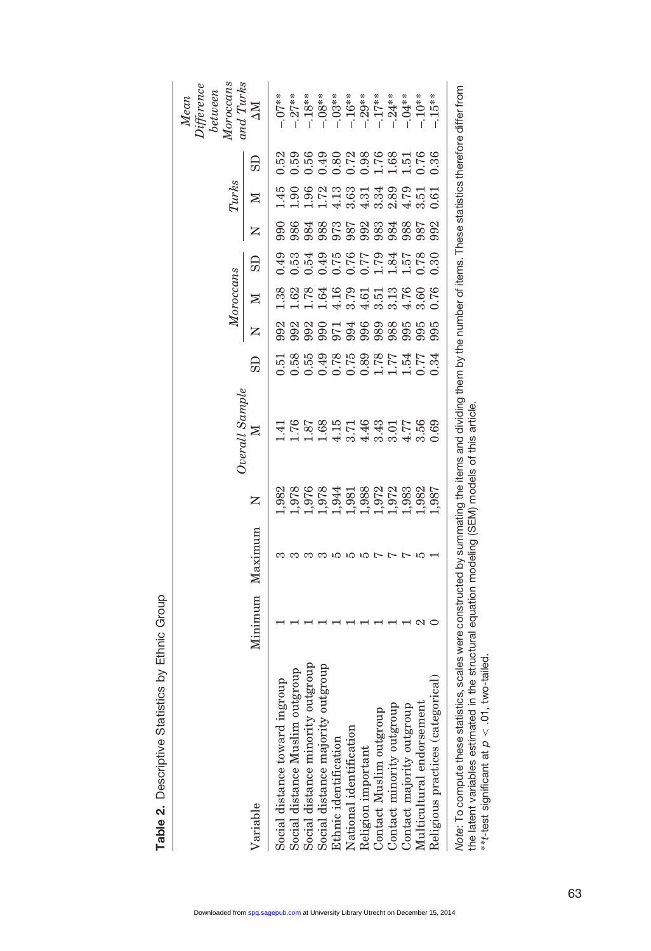|                                       |         |         |   | Overall Sample                                                                                                                |                      |            | Moroccans                                          |      |         | Turks |      | Moroccans<br>and Turks<br>Mean<br>Difference<br>between |
|---------------------------------------|---------|---------|---|-------------------------------------------------------------------------------------------------------------------------------|----------------------|------------|----------------------------------------------------|------|---------|-------|------|---------------------------------------------------------|
| Variable                              | Minimum | Maximum | z | N                                                                                                                             | සි                   |            | ⋝                                                  | €    | z       | ≥     | සි   | ΣĀ                                                      |
| Social distance toward ingroup        |         |         |   | $\dot{=}$                                                                                                                     | 0.51                 | 992        | 1.38                                               | 0.49 | 990     | $-45$ | 0.52 | $*10.$                                                  |
| Social distance Muslim outgroup       |         |         |   |                                                                                                                               | 0.58                 |            | 1.62                                               |      | 986     |       | 0.59 |                                                         |
| Social distance minority outgroup     |         |         |   |                                                                                                                               | $0.55\,$             | 992<br>992 | 1.78                                               |      | 384     |       |      |                                                         |
| Social distance majority outgroup     |         |         |   | $7.8001403$<br>$7.801744$<br>$1.4040$                                                                                         | 0.49                 | 571<br>066 |                                                    |      |         |       |      |                                                         |
| Ethnic identification                 |         |         |   |                                                                                                                               |                      |            |                                                    |      |         |       |      |                                                         |
| National identification               |         |         |   |                                                                                                                               |                      |            |                                                    |      |         |       |      |                                                         |
| Religion important                    |         |         |   |                                                                                                                               | 0.78<br>0.75<br>0.89 | 994<br>996 | $1.61$<br>$1.601$<br>$1.701$<br>$1.501$<br>$1.501$ |      | 8858888 |       |      |                                                         |
| Contact Muslim outgroup               |         |         |   |                                                                                                                               | $1.78$<br>$1.54$     | 989        |                                                    |      |         |       |      |                                                         |
| Contact minority outgroup             |         |         |   | 3.01                                                                                                                          |                      | 988        | 3.13                                               | 1.84 |         |       |      |                                                         |
| Contact majority outgroup             |         |         |   | 4.77                                                                                                                          |                      | 995        | 4.76                                               | 19'  | 88      |       |      |                                                         |
| Multicultural endorsement             |         |         |   | 3.56                                                                                                                          | 777                  | 995        |                                                    | 0.78 | 987     |       |      |                                                         |
| Religious practices (categorical      |         |         |   | 0.69                                                                                                                          | 0.34                 | 995        | 0.76                                               | 0.30 | 992     | 0.61  | 0.36 | $-15**$                                                 |
| Note: To compute these statistics, so |         |         |   | ales were constructed by summating the items and dividing them by the number of items. These statistics therefore differ from |                      |            |                                                    |      |         |       |      |                                                         |

Table 2. Descriptive Statistics by Ethnic Group Table 2. Descriptive Statistics by Ethnic Group

*Note*: To compute these statistics, scales were constructed by summating the items and dividing them by the number of items. These statistics therefore differ from rvoue. To compute these statistics, scates were constructed by suminating the literits and unviting<br>the latent variables estimated in the structural equation modeling (SEM) models of this article.<br>\*\*⊁rtest significant at the latent variables estimated in the structural equation modeling (SEM) models of this article. \*\**t*-test significant at *p* \ .01, two-tailed.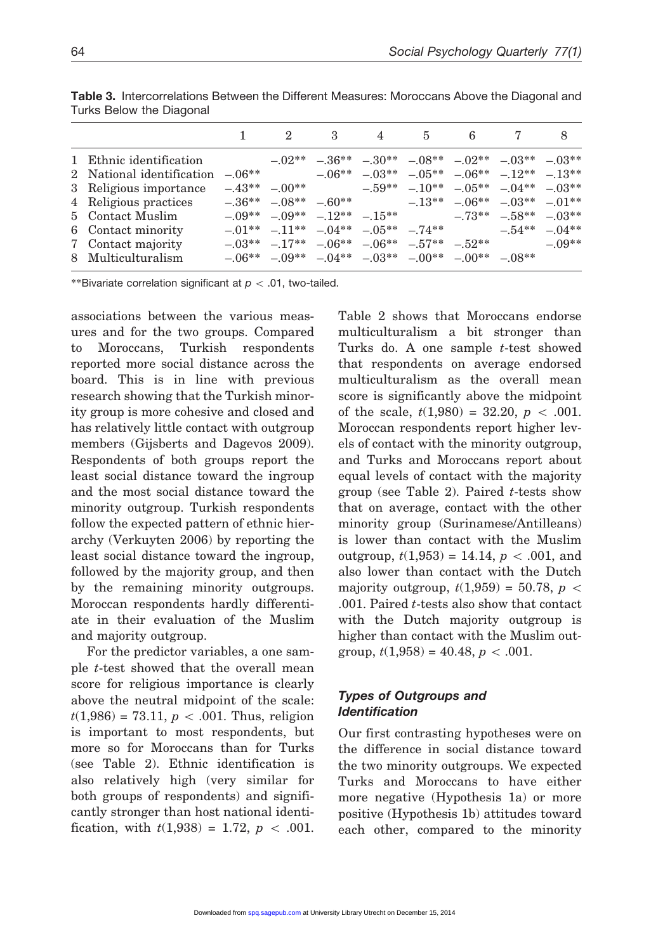|                                                                                                                                                                  | 3 | 4                                                                 | 5 | 6 |                                                                                             | 8                                                                                                                                                                                                                                                                                                                                                                                                                                       |
|------------------------------------------------------------------------------------------------------------------------------------------------------------------|---|-------------------------------------------------------------------|---|---|---------------------------------------------------------------------------------------------|-----------------------------------------------------------------------------------------------------------------------------------------------------------------------------------------------------------------------------------------------------------------------------------------------------------------------------------------------------------------------------------------------------------------------------------------|
|                                                                                                                                                                  |   |                                                                   |   |   |                                                                                             |                                                                                                                                                                                                                                                                                                                                                                                                                                         |
|                                                                                                                                                                  |   |                                                                   |   |   |                                                                                             |                                                                                                                                                                                                                                                                                                                                                                                                                                         |
|                                                                                                                                                                  |   |                                                                   |   |   |                                                                                             |                                                                                                                                                                                                                                                                                                                                                                                                                                         |
|                                                                                                                                                                  |   |                                                                   |   |   |                                                                                             |                                                                                                                                                                                                                                                                                                                                                                                                                                         |
|                                                                                                                                                                  |   |                                                                   |   |   |                                                                                             |                                                                                                                                                                                                                                                                                                                                                                                                                                         |
|                                                                                                                                                                  |   |                                                                   |   |   |                                                                                             |                                                                                                                                                                                                                                                                                                                                                                                                                                         |
|                                                                                                                                                                  |   |                                                                   |   |   |                                                                                             | $-.09**$                                                                                                                                                                                                                                                                                                                                                                                                                                |
|                                                                                                                                                                  |   |                                                                   |   |   |                                                                                             |                                                                                                                                                                                                                                                                                                                                                                                                                                         |
| 1 Ethnic identification<br>3 Religious importance<br>4 Religious practices<br>5 Contact Muslim<br>6 Contact minority<br>7 Contact majority<br>8 Multiculturalism |   | 2 National identification -.06 <sup>**</sup><br>$-.43**$ $-.00**$ |   |   | $-0.09**$ $-0.09**$ $-12**$ $-15**$<br>$-0.01***$ $-0.11***$ $-0.04***$ $-0.05**$ $-0.74**$ | $-0.02**$ $-0.36**$ $-0.08**$ $-0.02**$ $-0.03**$ $-0.3***$<br>$-06^{**}$ $-03^{**}$ $-05^{**}$ $-06^{**}$ $-12^{**}$ $-13^{**}$<br>$-59** -10** -05** -04** -03**$<br>$-0.36**$ $-0.08**$ $-60**$ $-13**$ $-06**$ $-0.3**$ $-0.1**$<br>$-.73**$ $-.58**$ $-.03**$<br>$-.54**$ $-.04**$<br>$-0.03***$ $-17***$ $-06***$ $-06***$ $-57**$ $-52**$<br>$-.06^{**}$ $-.09^{**}$ $-.04^{**}$ $-.03^{**}$ $-.00^{**}$ $-.00^{**}$ $-.08^{**}$ |

Table 3. Intercorrelations Between the Different Measures: Moroccans Above the Diagonal and Turks Below the Diagonal

\*\*Bivariate correlation significant at  $p < .01$ , two-tailed.

associations between the various measures and for the two groups. Compared to Moroccans, Turkish respondents reported more social distance across the board. This is in line with previous research showing that the Turkish minority group is more cohesive and closed and has relatively little contact with outgroup members (Gijsberts and Dagevos 2009). Respondents of both groups report the least social distance toward the ingroup and the most social distance toward the minority outgroup. Turkish respondents follow the expected pattern of ethnic hierarchy (Verkuyten 2006) by reporting the least social distance toward the ingroup, followed by the majority group, and then by the remaining minority outgroups. Moroccan respondents hardly differentiate in their evaluation of the Muslim and majority outgroup.

For the predictor variables, a one sample t-test showed that the overall mean score for religious importance is clearly above the neutral midpoint of the scale:  $t(1,986) = 73.11, p < .001$ . Thus, religion is important to most respondents, but more so for Moroccans than for Turks (see Table 2). Ethnic identification is also relatively high (very similar for both groups of respondents) and significantly stronger than host national identification, with  $t(1,938) = 1.72$ ,  $p \, < \, 001$ . Table 2 shows that Moroccans endorse multiculturalism a bit stronger than Turks do. A one sample t-test showed that respondents on average endorsed multiculturalism as the overall mean score is significantly above the midpoint of the scale,  $t(1,980) = 32.20, p \, < .001$ . Moroccan respondents report higher levels of contact with the minority outgroup, and Turks and Moroccans report about equal levels of contact with the majority group (see Table 2). Paired t-tests show that on average, contact with the other minority group (Surinamese/Antilleans) is lower than contact with the Muslim outgroup,  $t(1,953) = 14.14$ ,  $p \lt .001$ , and also lower than contact with the Dutch majority outgroup,  $t(1,959) = 50.78$ ,  $p \le$ .001. Paired  $t$ -tests also show that contact with the Dutch majority outgroup is higher than contact with the Muslim outgroup,  $t(1,958) = 40.48$ ,  $p < .001$ .

#### Types of Outgroups and **Identification**

Our first contrasting hypotheses were on the difference in social distance toward the two minority outgroups. We expected Turks and Moroccans to have either more negative (Hypothesis 1a) or more positive (Hypothesis 1b) attitudes toward each other, compared to the minority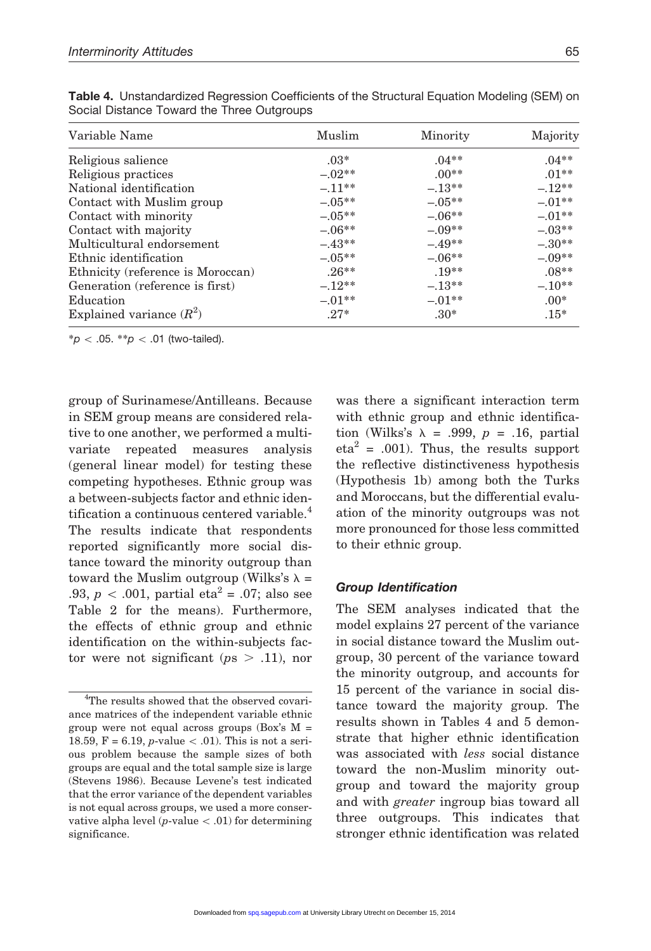| Variable Name                     | Muslim   | Minority | Majority |
|-----------------------------------|----------|----------|----------|
| Religious salience                | $.03*$   | $.04**$  | $.04**$  |
| Religious practices               | $-.02**$ | $.00**$  | $.01**$  |
| National identification           | $-.11**$ | $-.13**$ | $-.12**$ |
| Contact with Muslim group         | $-.05**$ | $-.05**$ | $-.01**$ |
| Contact with minority             | $-.05**$ | $-.06**$ | $-.01**$ |
| Contact with majority             | $-.06**$ | $-.09**$ | $-.03**$ |
| Multicultural endorsement         | $-.43**$ | $-.49**$ | $-.30**$ |
| Ethnic identification             | $-.05**$ | $-.06**$ | $-.09**$ |
| Ethnicity (reference is Moroccan) | $.26**$  | $.19**$  | $.08**$  |
| Generation (reference is first)   | $-.12**$ | $-.13**$ | $-.10**$ |
| Education                         | $-.01**$ | $-.01**$ | $.00*$   |
| Explained variance $(R^2)$        | $.27*$   | $.30*$   | $.15*$   |

Table 4. Unstandardized Regression Coefficients of the Structural Equation Modeling (SEM) on Social Distance Toward the Three Outgroups

 $* p < .05. ** p < .01$  (two-tailed).

group of Surinamese/Antilleans. Because in SEM group means are considered relative to one another, we performed a multivariate repeated measures analysis (general linear model) for testing these competing hypotheses. Ethnic group was a between-subjects factor and ethnic identification a continuous centered variable.<sup>4</sup> The results indicate that respondents reported significantly more social distance toward the minority outgroup than toward the Muslim outgroup (Wilks's  $\lambda =$ .93,  $p < .001$ , partial eta<sup>2</sup> = .07; also see Table 2 for the means). Furthermore, the effects of ethnic group and ethnic identification on the within-subjects factor were not significant ( $ps > .11$ ), nor

was there a significant interaction term with ethnic group and ethnic identification (Wilks's  $\lambda = .999$ ,  $p = .16$ , partial  $eta^2 = .001$ ). Thus, the results support the reflective distinctiveness hypothesis (Hypothesis 1b) among both the Turks and Moroccans, but the differential evaluation of the minority outgroups was not more pronounced for those less committed to their ethnic group.

#### Group Identification

The SEM analyses indicated that the model explains 27 percent of the variance in social distance toward the Muslim outgroup, 30 percent of the variance toward the minority outgroup, and accounts for 15 percent of the variance in social distance toward the majority group. The results shown in Tables 4 and 5 demonstrate that higher ethnic identification was associated with *less* social distance toward the non-Muslim minority outgroup and toward the majority group and with greater ingroup bias toward all three outgroups. This indicates that stronger ethnic identification was related

<sup>&</sup>lt;sup>4</sup>The results showed that the observed covariance matrices of the independent variable ethnic group were not equal across groups (Box's  $M =$ 18.59,  $F = 6.19$ , *p*-value  $\lt$  .01). This is not a serious problem because the sample sizes of both groups are equal and the total sample size is large (Stevens 1986). Because Levene's test indicated that the error variance of the dependent variables is not equal across groups, we used a more conservative alpha level ( $p$ -value  $\lt$  .01) for determining significance.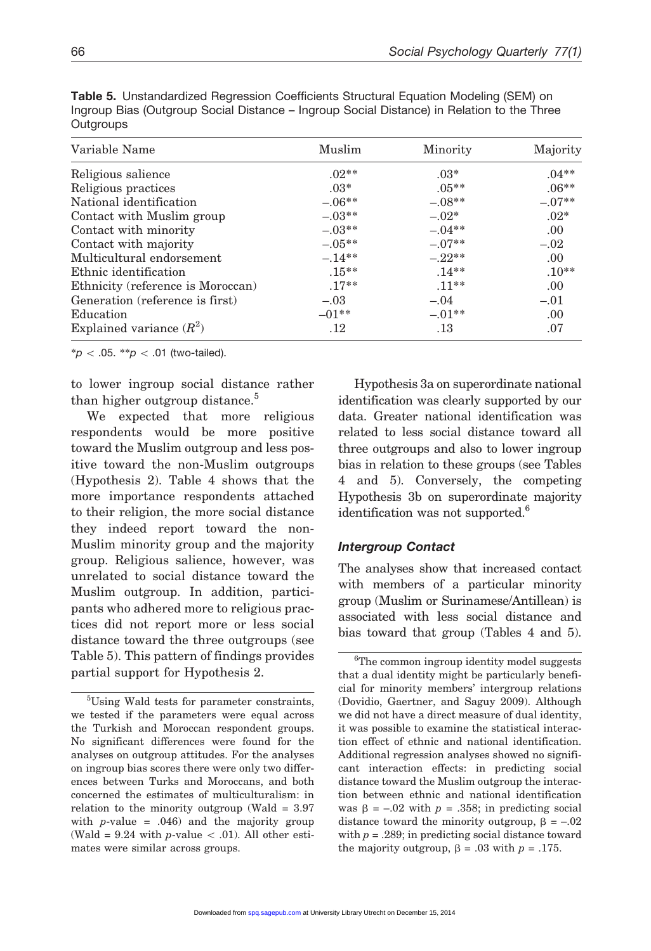| Variable Name                     | Muslim   | Minority | Majority |
|-----------------------------------|----------|----------|----------|
| Religious salience                | $.02**$  | $.03*$   | $.04**$  |
| Religious practices               | $.03*$   | $.05**$  | $.06**$  |
| National identification           | $-.06**$ | $-.08**$ | $-.07**$ |
| Contact with Muslim group         | $-.03**$ | $-.02*$  | $.02*$   |
| Contact with minority             | $-.03**$ | $-.04**$ | .00.     |
| Contact with majority             | $-.05**$ | $-.07**$ | $-.02$   |
| Multicultural endorsement         | $-.14**$ | $-.22**$ | .00.     |
| Ethnic identification             | $.15***$ | $.14**$  | $.10**$  |
| Ethnicity (reference is Moroccan) | $.17**$  | $.11**$  | .00.     |
| Generation (reference is first)   | $-.03$   | $-.04$   | $-.01$   |
| Education                         | $-01**$  | $-.01**$ | .00.     |
| Explained variance $(R^2)$        | $.12\,$  | .13      | .07      |

Table 5. Unstandardized Regression Coefficients Structural Equation Modeling (SEM) on Ingroup Bias (Outgroup Social Distance – Ingroup Social Distance) in Relation to the Three **Outgroups** 

 $* p < .05. ** p < .01$  (two-tailed).

to lower ingroup social distance rather than higher outgroup distance.<sup>5</sup>

We expected that more religious respondents would be more positive toward the Muslim outgroup and less positive toward the non-Muslim outgroups (Hypothesis 2). Table 4 shows that the more importance respondents attached to their religion, the more social distance they indeed report toward the non-Muslim minority group and the majority group. Religious salience, however, was unrelated to social distance toward the Muslim outgroup. In addition, participants who adhered more to religious practices did not report more or less social distance toward the three outgroups (see Table 5). This pattern of findings provides partial support for Hypothesis 2.

Hypothesis 3a on superordinate national identification was clearly supported by our data. Greater national identification was related to less social distance toward all three outgroups and also to lower ingroup bias in relation to these groups (see Tables 4 and 5). Conversely, the competing Hypothesis 3b on superordinate majority identification was not supported.<sup>6</sup>

#### Intergroup Contact

The analyses show that increased contact with members of a particular minority group (Muslim or Surinamese/Antillean) is associated with less social distance and bias toward that group (Tables 4 and 5).

<sup>5</sup> Using Wald tests for parameter constraints, we tested if the parameters were equal across the Turkish and Moroccan respondent groups. No significant differences were found for the analyses on outgroup attitudes. For the analyses on ingroup bias scores there were only two differences between Turks and Moroccans, and both concerned the estimates of multiculturalism: in relation to the minority outgroup (Wald = 3.97 with  $p$ -value = .046) and the majority group (Wald =  $9.24$  with *p*-value < .01). All other estimates were similar across groups.

<sup>&</sup>lt;sup>6</sup>The common ingroup identity model suggests that a dual identity might be particularly beneficial for minority members' intergroup relations (Dovidio, Gaertner, and Saguy 2009). Although we did not have a direct measure of dual identity, it was possible to examine the statistical interaction effect of ethnic and national identification. Additional regression analyses showed no significant interaction effects: in predicting social distance toward the Muslim outgroup the interaction between ethnic and national identification was  $\beta = -0.02$  with  $p = 0.358$ ; in predicting social distance toward the minority outgroup,  $\beta = -.02$ with  $p = .289$ ; in predicting social distance toward the majority outgroup,  $\beta = .03$  with  $p = .175$ .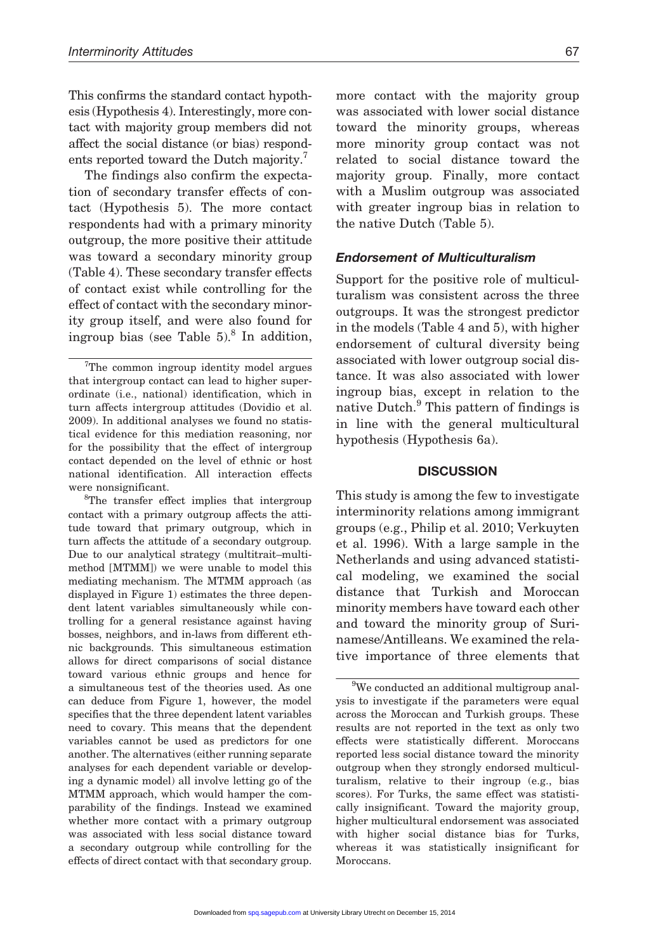This confirms the standard contact hypothesis (Hypothesis 4). Interestingly, more contact with majority group members did not affect the social distance (or bias) respondents reported toward the Dutch majority.<sup>7</sup>

The findings also confirm the expectation of secondary transfer effects of contact (Hypothesis 5). The more contact respondents had with a primary minority outgroup, the more positive their attitude was toward a secondary minority group (Table 4). These secondary transfer effects of contact exist while controlling for the effect of contact with the secondary minority group itself, and were also found for ingroup bias (see Table  $5$ ).<sup>8</sup> In addition,

<sup>8</sup>The transfer effect implies that intergroup contact with a primary outgroup affects the attitude toward that primary outgroup, which in turn affects the attitude of a secondary outgroup. Due to our analytical strategy (multitrait–multimethod [MTMM]) we were unable to model this mediating mechanism. The MTMM approach (as displayed in Figure 1) estimates the three dependent latent variables simultaneously while controlling for a general resistance against having bosses, neighbors, and in-laws from different ethnic backgrounds. This simultaneous estimation allows for direct comparisons of social distance toward various ethnic groups and hence for a simultaneous test of the theories used. As one can deduce from Figure 1, however, the model specifies that the three dependent latent variables need to covary. This means that the dependent variables cannot be used as predictors for one another. The alternatives (either running separate analyses for each dependent variable or developing a dynamic model) all involve letting go of the MTMM approach, which would hamper the comparability of the findings. Instead we examined whether more contact with a primary outgroup was associated with less social distance toward a secondary outgroup while controlling for the effects of direct contact with that secondary group.

more contact with the majority group was associated with lower social distance toward the minority groups, whereas more minority group contact was not related to social distance toward the majority group. Finally, more contact with a Muslim outgroup was associated with greater ingroup bias in relation to the native Dutch (Table 5).

#### Endorsement of Multiculturalism

Support for the positive role of multiculturalism was consistent across the three outgroups. It was the strongest predictor in the models (Table 4 and 5), with higher endorsement of cultural diversity being associated with lower outgroup social distance. It was also associated with lower ingroup bias, except in relation to the native Dutch.<sup>9</sup> This pattern of findings is in line with the general multicultural hypothesis (Hypothesis 6a).

#### **DISCUSSION**

This study is among the few to investigate interminority relations among immigrant groups (e.g., Philip et al. 2010; Verkuyten et al. 1996). With a large sample in the Netherlands and using advanced statistical modeling, we examined the social distance that Turkish and Moroccan minority members have toward each other and toward the minority group of Surinamese/Antilleans. We examined the relative importance of three elements that

<sup>&</sup>lt;sup>7</sup>The common ingroup identity model argues that intergroup contact can lead to higher superordinate (i.e., national) identification, which in turn affects intergroup attitudes (Dovidio et al. 2009). In additional analyses we found no statistical evidence for this mediation reasoning, nor for the possibility that the effect of intergroup contact depended on the level of ethnic or host national identification. All interaction effects were nonsignificant.

<sup>&</sup>lt;sup>9</sup>We conducted an additional multigroup analysis to investigate if the parameters were equal across the Moroccan and Turkish groups. These results are not reported in the text as only two effects were statistically different. Moroccans reported less social distance toward the minority outgroup when they strongly endorsed multiculturalism, relative to their ingroup (e.g., bias scores). For Turks, the same effect was statistically insignificant. Toward the majority group, higher multicultural endorsement was associated with higher social distance bias for Turks, whereas it was statistically insignificant for Moroccans.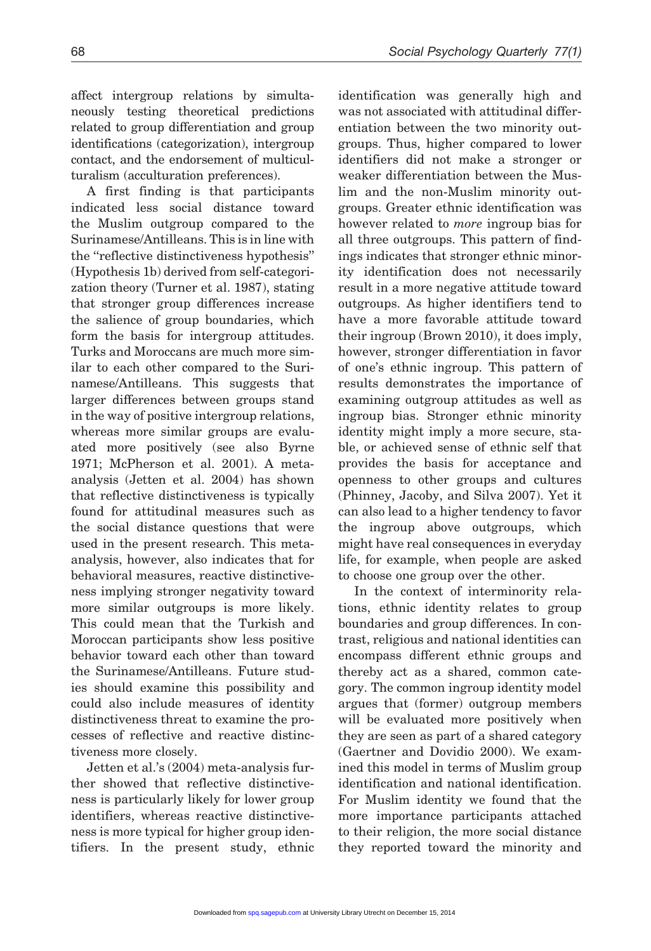affect intergroup relations by simultaneously testing theoretical predictions related to group differentiation and group identifications (categorization), intergroup contact, and the endorsement of multiculturalism (acculturation preferences).

A first finding is that participants indicated less social distance toward the Muslim outgroup compared to the Surinamese/Antilleans. This is in line with the ''reflective distinctiveness hypothesis'' (Hypothesis 1b) derived from self-categorization theory (Turner et al. 1987), stating that stronger group differences increase the salience of group boundaries, which form the basis for intergroup attitudes. Turks and Moroccans are much more similar to each other compared to the Surinamese/Antilleans. This suggests that larger differences between groups stand in the way of positive intergroup relations, whereas more similar groups are evaluated more positively (see also Byrne 1971; McPherson et al. 2001). A metaanalysis (Jetten et al. 2004) has shown that reflective distinctiveness is typically found for attitudinal measures such as the social distance questions that were used in the present research. This metaanalysis, however, also indicates that for behavioral measures, reactive distinctiveness implying stronger negativity toward more similar outgroups is more likely. This could mean that the Turkish and Moroccan participants show less positive behavior toward each other than toward the Surinamese/Antilleans. Future studies should examine this possibility and could also include measures of identity distinctiveness threat to examine the processes of reflective and reactive distinctiveness more closely.

Jetten et al.'s (2004) meta-analysis further showed that reflective distinctiveness is particularly likely for lower group identifiers, whereas reactive distinctiveness is more typical for higher group identifiers. In the present study, ethnic identification was generally high and was not associated with attitudinal differentiation between the two minority outgroups. Thus, higher compared to lower identifiers did not make a stronger or weaker differentiation between the Muslim and the non-Muslim minority outgroups. Greater ethnic identification was however related to more ingroup bias for all three outgroups. This pattern of findings indicates that stronger ethnic minority identification does not necessarily result in a more negative attitude toward outgroups. As higher identifiers tend to have a more favorable attitude toward their ingroup (Brown 2010), it does imply, however, stronger differentiation in favor of one's ethnic ingroup. This pattern of results demonstrates the importance of examining outgroup attitudes as well as ingroup bias. Stronger ethnic minority identity might imply a more secure, stable, or achieved sense of ethnic self that provides the basis for acceptance and openness to other groups and cultures (Phinney, Jacoby, and Silva 2007). Yet it can also lead to a higher tendency to favor the ingroup above outgroups, which might have real consequences in everyday life, for example, when people are asked to choose one group over the other.

In the context of interminority relations, ethnic identity relates to group boundaries and group differences. In contrast, religious and national identities can encompass different ethnic groups and thereby act as a shared, common category. The common ingroup identity model argues that (former) outgroup members will be evaluated more positively when they are seen as part of a shared category (Gaertner and Dovidio 2000). We examined this model in terms of Muslim group identification and national identification. For Muslim identity we found that the more importance participants attached to their religion, the more social distance they reported toward the minority and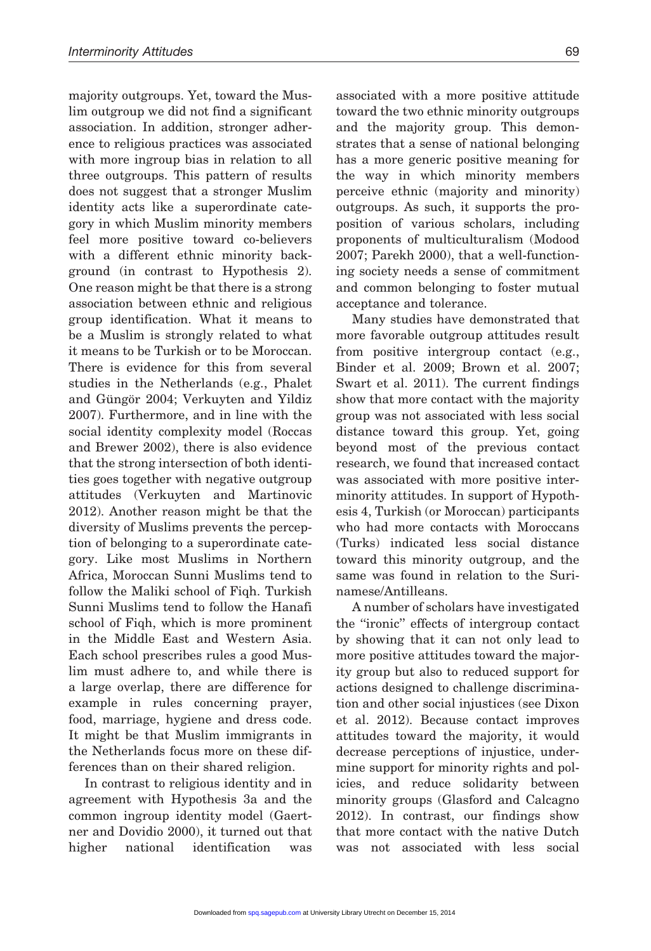majority outgroups. Yet, toward the Muslim outgroup we did not find a significant association. In addition, stronger adherence to religious practices was associated with more ingroup bias in relation to all three outgroups. This pattern of results does not suggest that a stronger Muslim identity acts like a superordinate category in which Muslim minority members feel more positive toward co-believers with a different ethnic minority background (in contrast to Hypothesis 2). One reason might be that there is a strong association between ethnic and religious group identification. What it means to be a Muslim is strongly related to what it means to be Turkish or to be Moroccan. There is evidence for this from several studies in the Netherlands (e.g., Phalet and Güngör 2004; Verkuyten and Yildiz 2007). Furthermore, and in line with the social identity complexity model (Roccas and Brewer 2002), there is also evidence that the strong intersection of both identities goes together with negative outgroup attitudes (Verkuyten and Martinovic 2012). Another reason might be that the diversity of Muslims prevents the perception of belonging to a superordinate category. Like most Muslims in Northern Africa, Moroccan Sunni Muslims tend to follow the Maliki school of Fiqh. Turkish Sunni Muslims tend to follow the Hanafi school of Fiqh, which is more prominent in the Middle East and Western Asia. Each school prescribes rules a good Muslim must adhere to, and while there is a large overlap, there are difference for example in rules concerning prayer, food, marriage, hygiene and dress code. It might be that Muslim immigrants in the Netherlands focus more on these differences than on their shared religion.

In contrast to religious identity and in agreement with Hypothesis 3a and the common ingroup identity model (Gaertner and Dovidio 2000), it turned out that higher national identification was

associated with a more positive attitude toward the two ethnic minority outgroups and the majority group. This demonstrates that a sense of national belonging has a more generic positive meaning for the way in which minority members perceive ethnic (majority and minority) outgroups. As such, it supports the proposition of various scholars, including proponents of multiculturalism (Modood 2007; Parekh 2000), that a well-functioning society needs a sense of commitment and common belonging to foster mutual acceptance and tolerance.

Many studies have demonstrated that more favorable outgroup attitudes result from positive intergroup contact (e.g., Binder et al. 2009; Brown et al. 2007; Swart et al. 2011). The current findings show that more contact with the majority group was not associated with less social distance toward this group. Yet, going beyond most of the previous contact research, we found that increased contact was associated with more positive interminority attitudes. In support of Hypothesis 4, Turkish (or Moroccan) participants who had more contacts with Moroccans (Turks) indicated less social distance toward this minority outgroup, and the same was found in relation to the Surinamese/Antilleans.

A number of scholars have investigated the ''ironic'' effects of intergroup contact by showing that it can not only lead to more positive attitudes toward the majority group but also to reduced support for actions designed to challenge discrimination and other social injustices (see Dixon et al. 2012). Because contact improves attitudes toward the majority, it would decrease perceptions of injustice, undermine support for minority rights and policies, and reduce solidarity between minority groups (Glasford and Calcagno 2012). In contrast, our findings show that more contact with the native Dutch was not associated with less social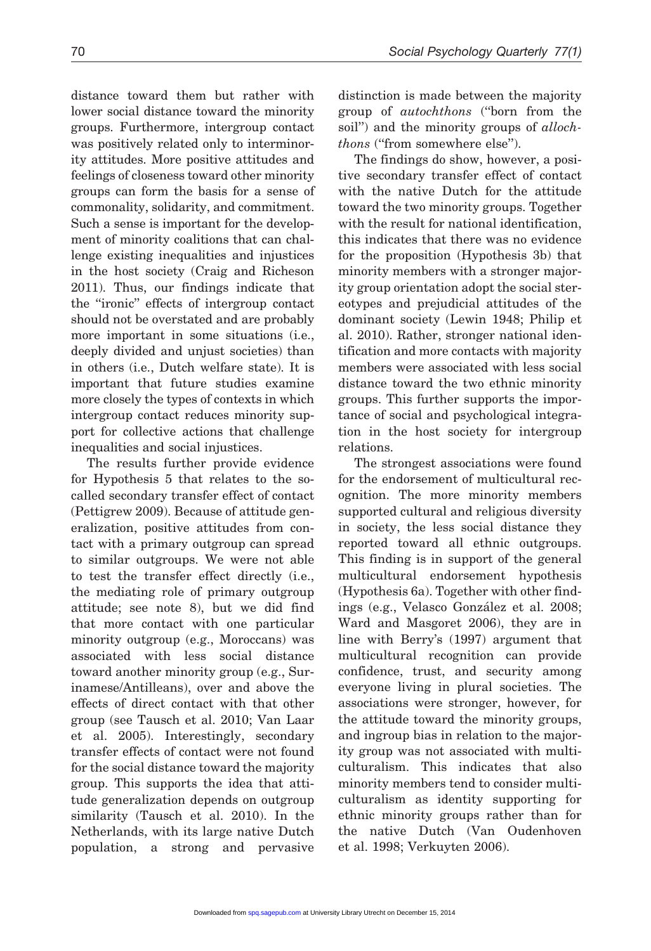distance toward them but rather with lower social distance toward the minority groups. Furthermore, intergroup contact was positively related only to interminority attitudes. More positive attitudes and feelings of closeness toward other minority groups can form the basis for a sense of commonality, solidarity, and commitment. Such a sense is important for the development of minority coalitions that can challenge existing inequalities and injustices in the host society (Craig and Richeson 2011). Thus, our findings indicate that the ''ironic'' effects of intergroup contact should not be overstated and are probably more important in some situations (i.e., deeply divided and unjust societies) than in others (i.e., Dutch welfare state). It is important that future studies examine more closely the types of contexts in which intergroup contact reduces minority support for collective actions that challenge inequalities and social injustices.

The results further provide evidence for Hypothesis 5 that relates to the socalled secondary transfer effect of contact (Pettigrew 2009). Because of attitude generalization, positive attitudes from contact with a primary outgroup can spread to similar outgroups. We were not able to test the transfer effect directly (i.e., the mediating role of primary outgroup attitude; see note 8), but we did find that more contact with one particular minority outgroup (e.g., Moroccans) was associated with less social distance toward another minority group (e.g., Surinamese/Antilleans), over and above the effects of direct contact with that other group (see Tausch et al. 2010; Van Laar et al. 2005). Interestingly, secondary transfer effects of contact were not found for the social distance toward the majority group. This supports the idea that attitude generalization depends on outgroup similarity (Tausch et al. 2010). In the Netherlands, with its large native Dutch population, a strong and pervasive distinction is made between the majority group of autochthons (''born from the soil") and the minority groups of allochthons (''from somewhere else'').

The findings do show, however, a positive secondary transfer effect of contact with the native Dutch for the attitude toward the two minority groups. Together with the result for national identification, this indicates that there was no evidence for the proposition (Hypothesis 3b) that minority members with a stronger majority group orientation adopt the social stereotypes and prejudicial attitudes of the dominant society (Lewin 1948; Philip et al. 2010). Rather, stronger national identification and more contacts with majority members were associated with less social distance toward the two ethnic minority groups. This further supports the importance of social and psychological integration in the host society for intergroup relations.

The strongest associations were found for the endorsement of multicultural recognition. The more minority members supported cultural and religious diversity in society, the less social distance they reported toward all ethnic outgroups. This finding is in support of the general multicultural endorsement hypothesis (Hypothesis 6a). Together with other findings (e.g., Velasco González et al. 2008; Ward and Masgoret 2006), they are in line with Berry's (1997) argument that multicultural recognition can provide confidence, trust, and security among everyone living in plural societies. The associations were stronger, however, for the attitude toward the minority groups, and ingroup bias in relation to the majority group was not associated with multiculturalism. This indicates that also minority members tend to consider multiculturalism as identity supporting for ethnic minority groups rather than for the native Dutch (Van Oudenhoven et al. 1998; Verkuyten 2006).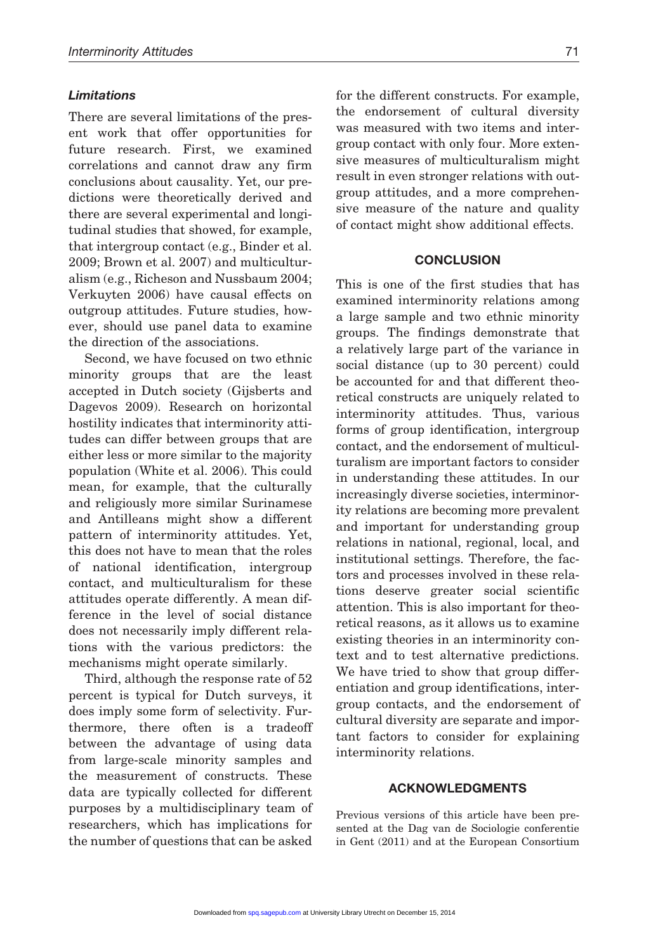#### **Limitations**

There are several limitations of the present work that offer opportunities for future research. First, we examined correlations and cannot draw any firm conclusions about causality. Yet, our predictions were theoretically derived and there are several experimental and longitudinal studies that showed, for example, that intergroup contact (e.g., Binder et al. 2009; Brown et al. 2007) and multiculturalism (e.g., Richeson and Nussbaum 2004; Verkuyten 2006) have causal effects on outgroup attitudes. Future studies, however, should use panel data to examine the direction of the associations.

Second, we have focused on two ethnic minority groups that are the least accepted in Dutch society (Gijsberts and Dagevos 2009). Research on horizontal hostility indicates that interminority attitudes can differ between groups that are either less or more similar to the majority population (White et al. 2006). This could mean, for example, that the culturally and religiously more similar Surinamese and Antilleans might show a different pattern of interminority attitudes. Yet, this does not have to mean that the roles of national identification, intergroup contact, and multiculturalism for these attitudes operate differently. A mean difference in the level of social distance does not necessarily imply different relations with the various predictors: the mechanisms might operate similarly.

Third, although the response rate of 52 percent is typical for Dutch surveys, it does imply some form of selectivity. Furthermore, there often is a tradeoff between the advantage of using data from large-scale minority samples and the measurement of constructs. These data are typically collected for different purposes by a multidisciplinary team of researchers, which has implications for the number of questions that can be asked for the different constructs. For example, the endorsement of cultural diversity was measured with two items and intergroup contact with only four. More extensive measures of multiculturalism might result in even stronger relations with outgroup attitudes, and a more comprehensive measure of the nature and quality of contact might show additional effects.

#### **CONCLUSION**

This is one of the first studies that has examined interminority relations among a large sample and two ethnic minority groups. The findings demonstrate that a relatively large part of the variance in social distance (up to 30 percent) could be accounted for and that different theoretical constructs are uniquely related to interminority attitudes. Thus, various forms of group identification, intergroup contact, and the endorsement of multiculturalism are important factors to consider in understanding these attitudes. In our increasingly diverse societies, interminority relations are becoming more prevalent and important for understanding group relations in national, regional, local, and institutional settings. Therefore, the factors and processes involved in these relations deserve greater social scientific attention. This is also important for theoretical reasons, as it allows us to examine existing theories in an interminority context and to test alternative predictions. We have tried to show that group differentiation and group identifications, intergroup contacts, and the endorsement of cultural diversity are separate and important factors to consider for explaining interminority relations.

#### ACKNOWLEDGMENTS

Previous versions of this article have been presented at the Dag van de Sociologie conferentie in Gent (2011) and at the European Consortium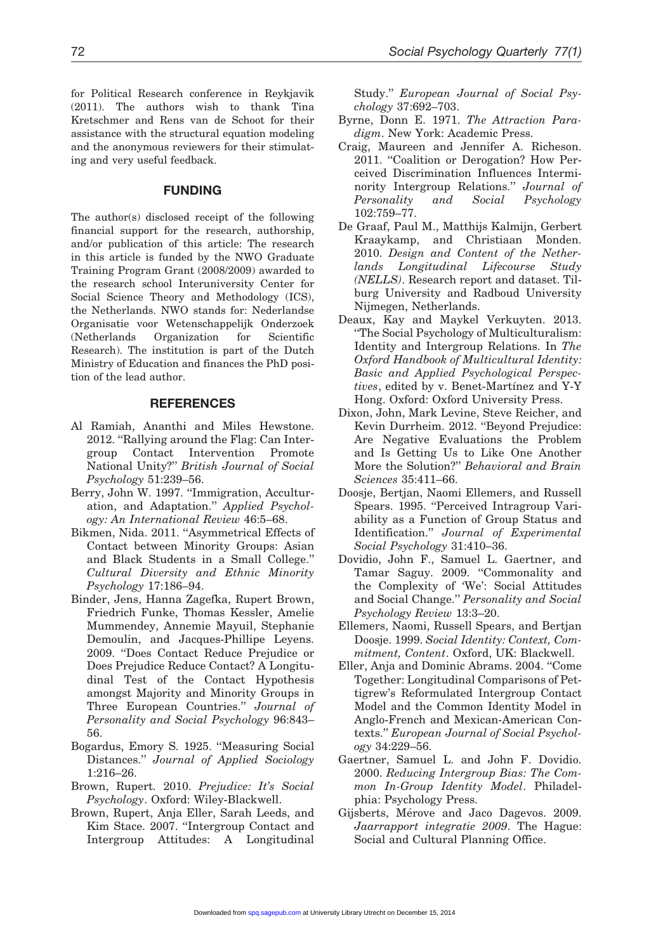for Political Research conference in Reykjavik (2011). The authors wish to thank Tina Kretschmer and Rens van de Schoot for their assistance with the structural equation modeling and the anonymous reviewers for their stimulating and very useful feedback.

#### FUNDING

The author(s) disclosed receipt of the following financial support for the research, authorship, and/or publication of this article: The research in this article is funded by the NWO Graduate Training Program Grant (2008/2009) awarded to the research school Interuniversity Center for Social Science Theory and Methodology (ICS), the Netherlands. NWO stands for: Nederlandse Organisatie voor Wetenschappelijk Onderzoek (Netherlands Organization for Scientific Research). The institution is part of the Dutch Ministry of Education and finances the PhD position of the lead author.

#### **REFERENCES**

- Al Ramiah, Ananthi and Miles Hewstone. 2012. ''Rallying around the Flag: Can Intergroup Contact Intervention Promote National Unity?'' British Journal of Social Psychology 51:239–56.
- Berry, John W. 1997. ''Immigration, Acculturation, and Adaptation.'' Applied Psychology: An International Review 46:5–68.
- Bikmen, Nida. 2011. ''Asymmetrical Effects of Contact between Minority Groups: Asian and Black Students in a Small College.'' Cultural Diversity and Ethnic Minority Psychology 17:186–94.
- Binder, Jens, Hanna Zagefka, Rupert Brown, Friedrich Funke, Thomas Kessler, Amelie Mummendey, Annemie Mayuil, Stephanie Demoulin, and Jacques-Phillipe Leyens. 2009. ''Does Contact Reduce Prejudice or Does Prejudice Reduce Contact? A Longitudinal Test of the Contact Hypothesis amongst Majority and Minority Groups in Three European Countries.'' Journal of Personality and Social Psychology 96:843– 56.
- Bogardus, Emory S. 1925. ''Measuring Social Distances.'' Journal of Applied Sociology 1:216–26.
- Brown, Rupert. 2010. Prejudice: It's Social Psychology. Oxford: Wiley-Blackwell.
- Brown, Rupert, Anja Eller, Sarah Leeds, and Kim Stace. 2007. ''Intergroup Contact and Intergroup Attitudes: A Longitudinal

Study.'' European Journal of Social Psychology 37:692–703.

- Byrne, Donn E. 1971. The Attraction Paradigm. New York: Academic Press.
- Craig, Maureen and Jennifer A. Richeson. 2011. ''Coalition or Derogation? How Perceived Discrimination Influences Interminority Intergroup Relations.'' Journal of Personality and Social Psychology 102:759–77.
- De Graaf, Paul M., Matthijs Kalmijn, Gerbert Kraaykamp, and Christiaan Monden. 2010. Design and Content of the Netherlands Longitudinal Lifecourse Study (NELLS). Research report and dataset. Tilburg University and Radboud University Nijmegen, Netherlands.
- Deaux, Kay and Maykel Verkuyten. 2013. ''The Social Psychology of Multiculturalism: Identity and Intergroup Relations. In The Oxford Handbook of Multicultural Identity: Basic and Applied Psychological Perspectives, edited by v. Benet-Martínez and Y-Y Hong. Oxford: Oxford University Press.
- Dixon, John, Mark Levine, Steve Reicher, and Kevin Durrheim. 2012. ''Beyond Prejudice: Are Negative Evaluations the Problem and Is Getting Us to Like One Another More the Solution?'' Behavioral and Brain Sciences 35:411–66.
- Doosje, Bertjan, Naomi Ellemers, and Russell Spears. 1995. ''Perceived Intragroup Variability as a Function of Group Status and Identification.'' Journal of Experimental Social Psychology 31:410–36.
- Dovidio, John F., Samuel L. Gaertner, and Tamar Saguy. 2009. ''Commonality and the Complexity of 'We': Social Attitudes and Social Change.'' Personality and Social Psychology Review 13:3–20.
- Ellemers, Naomi, Russell Spears, and Bertjan Doosje. 1999. Social Identity: Context, Commitment, Content. Oxford, UK: Blackwell.
- Eller, Anja and Dominic Abrams. 2004. ''Come Together: Longitudinal Comparisons of Pettigrew's Reformulated Intergroup Contact Model and the Common Identity Model in Anglo-French and Mexican-American Contexts.'' European Journal of Social Psychology 34:229–56.
- Gaertner, Samuel L. and John F. Dovidio. 2000. Reducing Intergroup Bias: The Common In-Group Identity Model. Philadelphia: Psychology Press.
- Gijsberts, Mérove and Jaco Dagevos. 2009. Jaarrapport integratie 2009. The Hague: Social and Cultural Planning Office.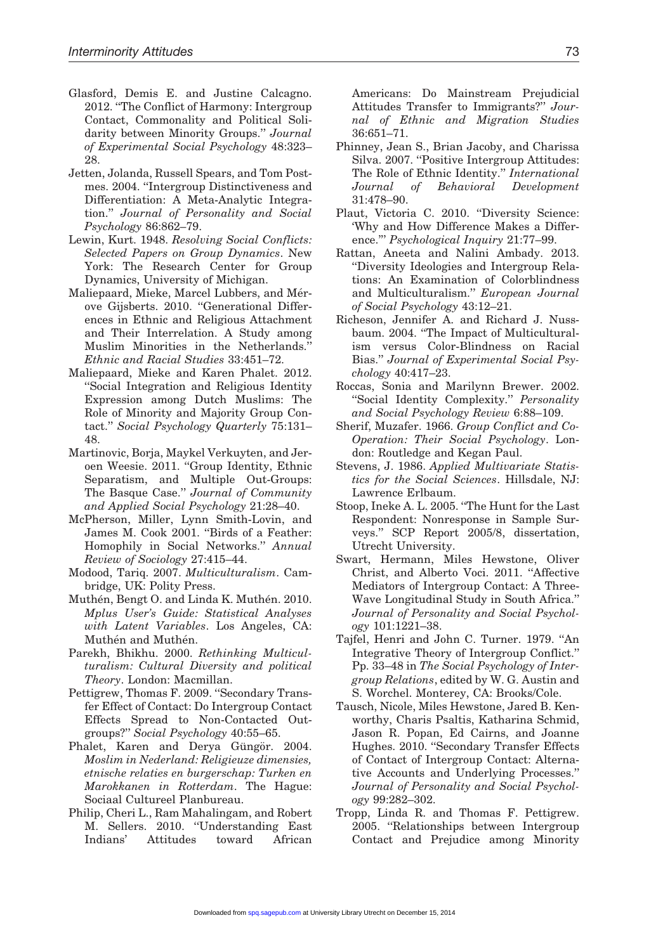- Glasford, Demis E. and Justine Calcagno. 2012. ''The Conflict of Harmony: Intergroup Contact, Commonality and Political Solidarity between Minority Groups.'' Journal of Experimental Social Psychology 48:323– 28.
- Jetten, Jolanda, Russell Spears, and Tom Postmes. 2004. ''Intergroup Distinctiveness and Differentiation: A Meta-Analytic Integration.'' Journal of Personality and Social Psychology 86:862–79.
- Lewin, Kurt. 1948. Resolving Social Conflicts: Selected Papers on Group Dynamics. New York: The Research Center for Group Dynamics, University of Michigan.
- Maliepaard, Mieke, Marcel Lubbers, and Mérove Gijsberts. 2010. ''Generational Differences in Ethnic and Religious Attachment and Their Interrelation. A Study among Muslim Minorities in the Netherlands.'' Ethnic and Racial Studies 33:451–72.
- Maliepaard, Mieke and Karen Phalet. 2012. ''Social Integration and Religious Identity Expression among Dutch Muslims: The Role of Minority and Majority Group Contact.'' Social Psychology Quarterly 75:131– 48.
- Martinovic, Borja, Maykel Verkuyten, and Jeroen Weesie. 2011. ''Group Identity, Ethnic Separatism, and Multiple Out-Groups: The Basque Case.'' Journal of Community and Applied Social Psychology 21:28–40.
- McPherson, Miller, Lynn Smith-Lovin, and James M. Cook 2001. ''Birds of a Feather: Homophily in Social Networks.'' Annual Review of Sociology 27:415–44.
- Modood, Tariq. 2007. Multiculturalism. Cambridge, UK: Polity Press.
- Muthén, Bengt O. and Linda K. Muthén. 2010. Mplus User's Guide: Statistical Analyses with Latent Variables. Los Angeles, CA: Muthén and Muthén.
- Parekh, Bhikhu. 2000. Rethinking Multiculturalism: Cultural Diversity and political Theory. London: Macmillan.
- Pettigrew, Thomas F. 2009. ''Secondary Transfer Effect of Contact: Do Intergroup Contact Effects Spread to Non-Contacted Outgroups?'' Social Psychology 40:55–65.
- Phalet, Karen and Derya Güngör. 2004. Moslim in Nederland: Religieuze dimensies, etnische relaties en burgerschap: Turken en Marokkanen in Rotterdam. The Hague: Sociaal Cultureel Planbureau.
- Philip, Cheri L., Ram Mahalingam, and Robert M. Sellers. 2010. ''Understanding East Indians' Attitudes toward African

Americans: Do Mainstream Prejudicial Attitudes Transfer to Immigrants?'' Journal of Ethnic and Migration Studies 36:651–71.

- Phinney, Jean S., Brian Jacoby, and Charissa Silva. 2007. ''Positive Intergroup Attitudes: The Role of Ethnic Identity.'' International Journal of Behavioral Development 31:478–90.
- Plaut, Victoria C. 2010. ''Diversity Science: 'Why and How Difference Makes a Difference.''' Psychological Inquiry 21:77–99.
- Rattan, Aneeta and Nalini Ambady. 2013. ''Diversity Ideologies and Intergroup Relations: An Examination of Colorblindness and Multiculturalism.'' European Journal of Social Psychology 43:12–21.
- Richeson, Jennifer A. and Richard J. Nussbaum. 2004. ''The Impact of Multiculturalism versus Color-Blindness on Racial Bias.'' Journal of Experimental Social Psychology 40:417–23.
- Roccas, Sonia and Marilynn Brewer. 2002. ''Social Identity Complexity.'' Personality and Social Psychology Review 6:88–109.
- Sherif, Muzafer. 1966. Group Conflict and Co-Operation: Their Social Psychology. London: Routledge and Kegan Paul.
- Stevens, J. 1986. Applied Multivariate Statistics for the Social Sciences. Hillsdale, NJ: Lawrence Erlbaum.
- Stoop, Ineke A. L. 2005. ''The Hunt for the Last Respondent: Nonresponse in Sample Surveys.'' SCP Report 2005/8, dissertation, Utrecht University.
- Swart, Hermann, Miles Hewstone, Oliver Christ, and Alberto Voci. 2011. ''Affective Mediators of Intergroup Contact: A Three-Wave Longitudinal Study in South Africa.'' Journal of Personality and Social Psychology 101:1221–38.
- Tajfel, Henri and John C. Turner. 1979. ''An Integrative Theory of Intergroup Conflict.'' Pp. 33–48 in The Social Psychology of Intergroup Relations, edited by W. G. Austin and S. Worchel. Monterey, CA: Brooks/Cole.
- Tausch, Nicole, Miles Hewstone, Jared B. Kenworthy, Charis Psaltis, Katharina Schmid, Jason R. Popan, Ed Cairns, and Joanne Hughes. 2010. ''Secondary Transfer Effects of Contact of Intergroup Contact: Alternative Accounts and Underlying Processes.'' Journal of Personality and Social Psychology 99:282–302.
- Tropp, Linda R. and Thomas F. Pettigrew. 2005. ''Relationships between Intergroup Contact and Prejudice among Minority